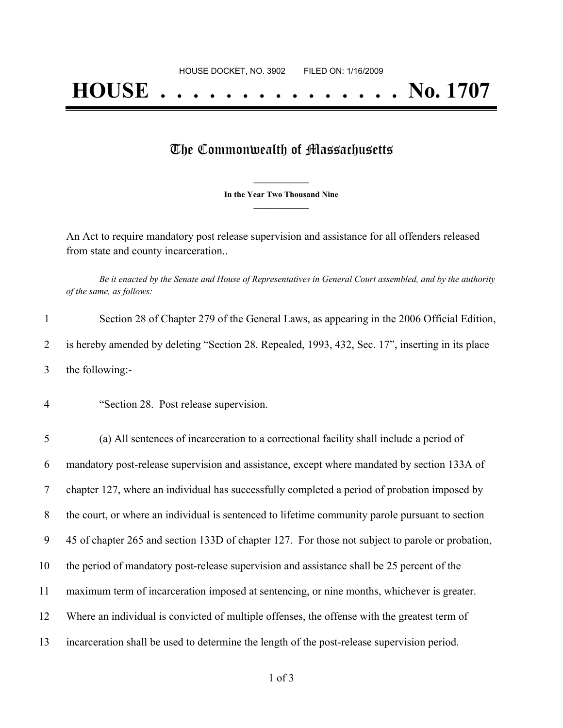## **HOUSE . . . . . . . . . . . . . . . No. 1707**

## The Commonwealth of Massachusetts

**\_\_\_\_\_\_\_\_\_\_\_\_\_\_\_ In the Year Two Thousand Nine \_\_\_\_\_\_\_\_\_\_\_\_\_\_\_**

An Act to require mandatory post release supervision and assistance for all offenders released from state and county incarceration..

Be it enacted by the Senate and House of Representatives in General Court assembled, and by the authority *of the same, as follows:*

| Section 28 of Chapter 279 of the General Laws, as appearing in the 2006 Official Edition,        |
|--------------------------------------------------------------------------------------------------|
| is hereby amended by deleting "Section 28. Repealed, 1993, 432, Sec. 17", inserting in its place |
| the following:-                                                                                  |

4 "Section 28. Post release supervision.

 (a) All sentences of incarceration to a correctional facility shall include a period of mandatory post-release supervision and assistance, except where mandated by section 133A of chapter 127, where an individual has successfully completed a period of probation imposed by the court, or where an individual is sentenced to lifetime community parole pursuant to section 45 of chapter 265 and section 133D of chapter 127. For those not subject to parole or probation, the period of mandatory post-release supervision and assistance shall be 25 percent of the maximum term of incarceration imposed at sentencing, or nine months, whichever is greater. Where an individual is convicted of multiple offenses, the offense with the greatest term of incarceration shall be used to determine the length of the post-release supervision period.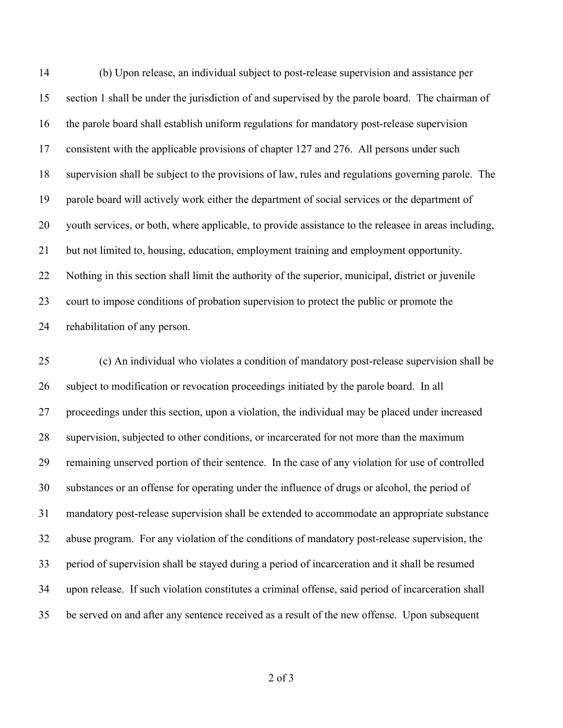(b) Upon release, an individual subject to post-release supervision and assistance per section 1 shall be under the jurisdiction of and supervised by the parole board. The chairman of the parole board shall establish uniform regulations for mandatory post-release supervision consistent with the applicable provisions of chapter 127 and 276. All persons under such supervision shall be subject to the provisions of law, rules and regulations governing parole. The parole board will actively work either the department of social services or the department of youth services, or both, where applicable, to provide assistance to the releasee in areas including, but not limited to, housing, education, employment training and employment opportunity. Nothing in this section shall limit the authority of the superior, municipal, district or juvenile court to impose conditions of probation supervision to protect the public or promote the rehabilitation of any person.

 (c) An individual who violates a condition of mandatory post-release supervision shall be subject to modification or revocation proceedings initiated by the parole board. In all proceedings under this section, upon a violation, the individual may be placed under increased supervision, subjected to other conditions, or incarcerated for not more than the maximum remaining unserved portion of their sentence. In the case of any violation for use of controlled substances or an offense for operating under the influence of drugs or alcohol, the period of mandatory post-release supervision shall be extended to accommodate an appropriate substance abuse program. For any violation of the conditions of mandatory post-release supervision, the period of supervision shall be stayed during a period of incarceration and it shall be resumed upon release. If such violation constitutes a criminal offense, said period of incarceration shall be served on and after any sentence received as a result of the new offense. Upon subsequent